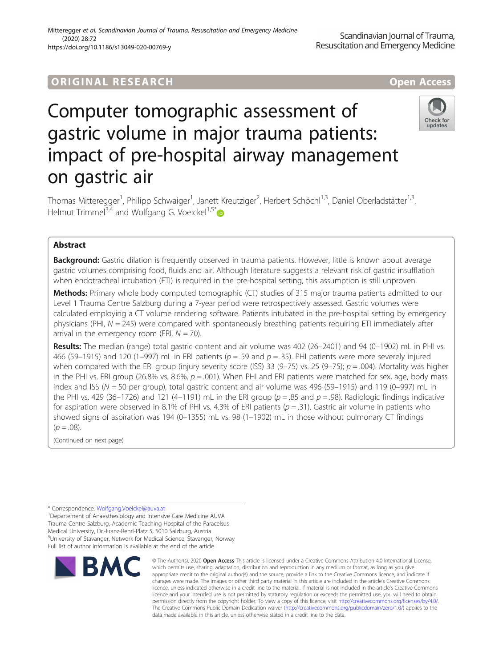## **ORIGINAL RESEARCH AND LOCAL CONSUMING A LOCAL CONSUMING A LOCAL CONSUMING A LOCAL CONSUMING A LOCAL CONSUMING**

# Computer tomographic assessment of gastric volume in major trauma patients: impact of pre-hospital airway management on gastric air



Thomas Mitteregger<sup>1</sup>, Philipp Schwaiger<sup>1</sup>, Janett Kreutziger<sup>2</sup>, Herbert Schöchl<sup>1,3</sup>, Daniel Oberladstätter<sup>1,3</sup>, Helmut Trimmel<sup>3,4</sup> and Wolfgang G. Voelckel<sup>1,5\*</sup>

## Abstract

**Background:** Gastric dilation is frequently observed in trauma patients. However, little is known about average gastric volumes comprising food, fluids and air. Although literature suggests a relevant risk of gastric insufflation when endotracheal intubation (ETI) is required in the pre-hospital setting, this assumption is still unproven.

**Methods:** Primary whole body computed tomographic (CT) studies of 315 major trauma patients admitted to our Level 1 Trauma Centre Salzburg during a 7-year period were retrospectively assessed. Gastric volumes were calculated employing a CT volume rendering software. Patients intubated in the pre-hospital setting by emergency physicians (PHI,  $N = 245$ ) were compared with spontaneously breathing patients requiring ETI immediately after arrival in the emergency room (ERI,  $N = 70$ ).

Results: The median (range) total gastric content and air volume was 402 (26-2401) and 94 (0-1902) mL in PHI vs. 466 (59–1915) and 120 (1–997) mL in ERI patients ( $p = .59$  and  $p = .35$ ). PHI patients were more severely injured when compared with the ERI group (injury severity score (ISS) 33 (9–75) vs. 25 (9–75);  $p = .004$ ). Mortality was higher in the PHI vs. ERI group (26.8% vs. 8.6%,  $p = .001$ ). When PHI and ERI patients were matched for sex, age, body mass index and ISS ( $N = 50$  per group), total gastric content and air volume was 496 (59-1915) and 119 (0-997) mL in the PHI vs. 429 (36–1726) and 121 (4–1191) mL in the ERI group ( $p = .85$  and  $p = .98$ ). Radiologic findings indicative for aspiration were observed in 8.1% of PHI vs. 4.3% of ERI patients ( $p = .31$ ). Gastric air volume in patients who showed signs of aspiration was 194 (0–1355) mL vs. 98 (1–1902) mL in those without pulmonary CT findings  $(p=.08)$ .

(Continued on next page)

\* Correspondence: [Wolfgang.Voelckel@auva.at](mailto:Wolfgang.Voelckel@auva.at) <sup>1</sup>

<sup>1</sup>Departement of Anaesthesiology and Intensive Care Medicine AUVA Trauma Centre Salzburg, Academic Teaching Hospital of the Paracelsus Medical University, Dr.-Franz-Rehrl-Platz 5, 5010 Salzburg, Austria 5 University of Stavanger, Network for Medical Science, Stavanger, Norway Full list of author information is available at the end of the article



<sup>©</sup> The Author(s), 2020 **Open Access** This article is licensed under a Creative Commons Attribution 4.0 International License, which permits use, sharing, adaptation, distribution and reproduction in any medium or format, as long as you give appropriate credit to the original author(s) and the source, provide a link to the Creative Commons licence, and indicate if changes were made. The images or other third party material in this article are included in the article's Creative Commons licence, unless indicated otherwise in a credit line to the material. If material is not included in the article's Creative Commons licence and your intended use is not permitted by statutory regulation or exceeds the permitted use, you will need to obtain permission directly from the copyright holder. To view a copy of this licence, visit [http://creativecommons.org/licenses/by/4.0/.](http://creativecommons.org/licenses/by/4.0/) The Creative Commons Public Domain Dedication waiver [\(http://creativecommons.org/publicdomain/zero/1.0/](http://creativecommons.org/publicdomain/zero/1.0/)) applies to the data made available in this article, unless otherwise stated in a credit line to the data.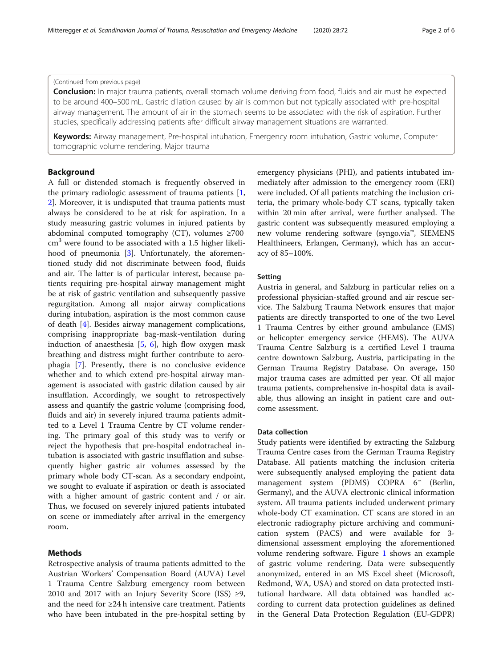## (Continued from previous page)

Conclusion: In major trauma patients, overall stomach volume deriving from food, fluids and air must be expected to be around 400–500 mL. Gastric dilation caused by air is common but not typically associated with pre-hospital airway management. The amount of air in the stomach seems to be associated with the risk of aspiration. Further studies, specifically addressing patients after difficult airway management situations are warranted.

Keywords: Airway management, Pre-hospital intubation, Emergency room intubation, Gastric volume, Computer tomographic volume rendering, Major trauma

## Background

A full or distended stomach is frequently observed in the primary radiologic assessment of trauma patients [\[1](#page-5-0), [2\]](#page-5-0). Moreover, it is undisputed that trauma patients must always be considered to be at risk for aspiration. In a study measuring gastric volumes in injured patients by abdominal computed tomography (CT), volumes ≥700  $cm<sup>3</sup>$  were found to be associated with a 1.5 higher likelihood of pneumonia [\[3](#page-5-0)]. Unfortunately, the aforementioned study did not discriminate between food, fluids and air. The latter is of particular interest, because patients requiring pre-hospital airway management might be at risk of gastric ventilation and subsequently passive regurgitation. Among all major airway complications during intubation, aspiration is the most common cause of death [[4\]](#page-5-0). Besides airway management complications, comprising inappropriate bag-mask-ventilation during induction of anaesthesia [\[5,](#page-5-0) [6](#page-5-0)], high flow oxygen mask breathing and distress might further contribute to aerophagia [[7\]](#page-5-0). Presently, there is no conclusive evidence whether and to which extend pre-hospital airway management is associated with gastric dilation caused by air insufflation. Accordingly, we sought to retrospectively assess and quantify the gastric volume (comprising food, fluids and air) in severely injured trauma patients admitted to a Level 1 Trauma Centre by CT volume rendering. The primary goal of this study was to verify or reject the hypothesis that pre-hospital endotracheal intubation is associated with gastric insufflation and subsequently higher gastric air volumes assessed by the primary whole body CT-scan. As a secondary endpoint, we sought to evaluate if aspiration or death is associated with a higher amount of gastric content and / or air. Thus, we focused on severely injured patients intubated on scene or immediately after arrival in the emergency room.

## Methods

Retrospective analysis of trauma patients admitted to the Austrian Workers' Compensation Board (AUVA) Level 1 Trauma Centre Salzburg emergency room between 2010 and 2017 with an Injury Severity Score (ISS)  $\geq 9$ , and the need for  $\geq 24$  h intensive care treatment. Patients who have been intubated in the pre-hospital setting by

emergency physicians (PHI), and patients intubated immediately after admission to the emergency room (ERI) were included. Of all patients matching the inclusion criteria, the primary whole-body CT scans, typically taken within 20 min after arrival, were further analysed. The gastric content was subsequently measured employing a new volume rendering software (syngo.via™, SIEMENS Healthineers, Erlangen, Germany), which has an accuracy of 85–100%.

## Setting

Austria in general, and Salzburg in particular relies on a professional physician-staffed ground and air rescue service. The Salzburg Trauma Network ensures that major patients are directly transported to one of the two Level 1 Trauma Centres by either ground ambulance (EMS) or helicopter emergency service (HEMS). The AUVA Trauma Centre Salzburg is a certified Level I trauma centre downtown Salzburg, Austria, participating in the German Trauma Registry Database. On average, 150 major trauma cases are admitted per year. Of all major trauma patients, comprehensive in-hospital data is available, thus allowing an insight in patient care and outcome assessment.

## Data collection

Study patients were identified by extracting the Salzburg Trauma Centre cases from the German Trauma Registry Database. All patients matching the inclusion criteria were subsequently analysed employing the patient data management system (PDMS) COPRA 6™ (Berlin, Germany), and the AUVA electronic clinical information system. All trauma patients included underwent primary whole-body CT examination. CT scans are stored in an electronic radiography picture archiving and communication system (PACS) and were available for 3 dimensional assessment employing the aforementioned volume rendering software. Figure [1](#page-2-0) shows an example of gastric volume rendering. Data were subsequently anonymized, entered in an MS Excel sheet (Microsoft, Redmond, WA, USA) and stored on data protected institutional hardware. All data obtained was handled according to current data protection guidelines as defined in the General Data Protection Regulation (EU-GDPR)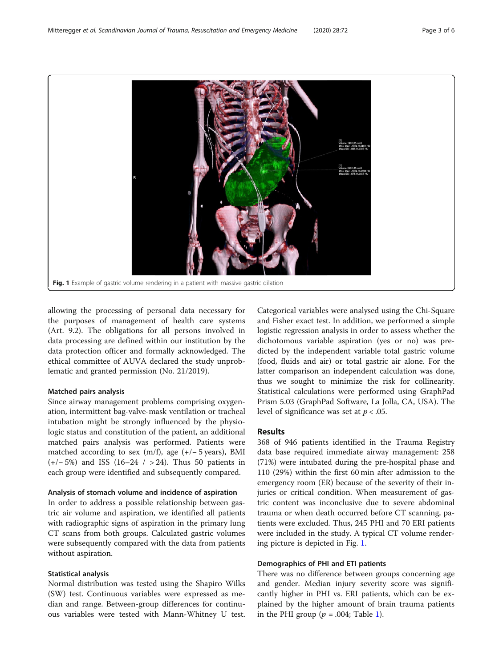<span id="page-2-0"></span>

allowing the processing of personal data necessary for the purposes of management of health care systems (Art. 9.2). The obligations for all persons involved in data processing are defined within our institution by the data protection officer and formally acknowledged. The ethical committee of AUVA declared the study unproblematic and granted permission (No. 21/2019).

## Matched pairs analysis

Since airway management problems comprising oxygenation, intermittent bag-valve-mask ventilation or tracheal intubation might be strongly influenced by the physiologic status and constitution of the patient, an additional matched pairs analysis was performed. Patients were matched according to sex  $(m/f)$ , age  $(+/-5$  years), BMI (+/− 5%) and ISS (16–24 / > 24). Thus 50 patients in each group were identified and subsequently compared.

## Analysis of stomach volume and incidence of aspiration

In order to address a possible relationship between gastric air volume and aspiration, we identified all patients with radiographic signs of aspiration in the primary lung CT scans from both groups. Calculated gastric volumes were subsequently compared with the data from patients without aspiration.

## Statistical analysis

Normal distribution was tested using the Shapiro Wilks (SW) test. Continuous variables were expressed as median and range. Between-group differences for continuous variables were tested with Mann-Whitney U test.

Categorical variables were analysed using the Chi-Square and Fisher exact test. In addition, we performed a simple logistic regression analysis in order to assess whether the dichotomous variable aspiration (yes or no) was predicted by the independent variable total gastric volume (food, fluids and air) or total gastric air alone. For the latter comparison an independent calculation was done, thus we sought to minimize the risk for collinearity. Statistical calculations were performed using GraphPad Prism 5.03 (GraphPad Software, La Jolla, CA, USA). The level of significance was set at  $p < .05$ .

## Results

368 of 946 patients identified in the Trauma Registry data base required immediate airway management: 258 (71%) were intubated during the pre-hospital phase and 110 (29%) within the first 60 min after admission to the emergency room (ER) because of the severity of their injuries or critical condition. When measurement of gastric content was inconclusive due to severe abdominal trauma or when death occurred before CT scanning, patients were excluded. Thus, 245 PHI and 70 ERI patients were included in the study. A typical CT volume rendering picture is depicted in Fig. 1.

## Demographics of PHI and ETI patients

There was no difference between groups concerning age and gender. Median injury severity score was significantly higher in PHI vs. ERI patients, which can be explained by the higher amount of brain trauma patients in the PHI group ( $p = .004$ ; Table [1](#page-3-0)).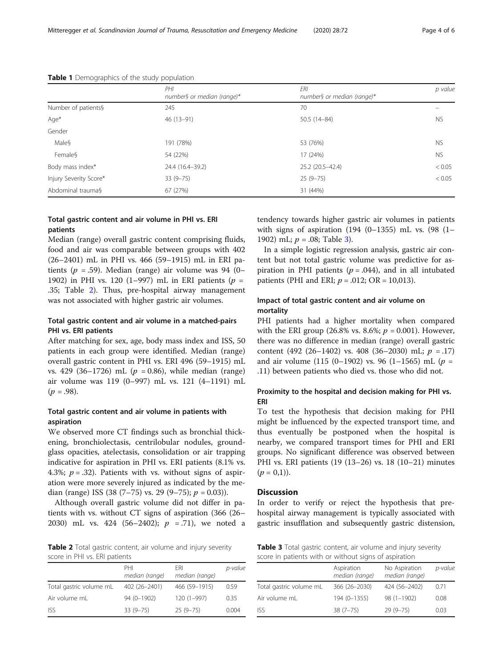|                        | PHI<br>number§ or median (range)* | ERI<br>number§ or median (range)* | p value   |
|------------------------|-----------------------------------|-----------------------------------|-----------|
| Number of patients§    | 245                               | 70                                |           |
| Age*                   | $46(13-91)$                       | 50.5 (14-84)                      | <b>NS</b> |
| Gender                 |                                   |                                   |           |
| Male§                  | 191 (78%)                         | 53 (76%)                          | <b>NS</b> |
| Female§                | 54 (22%)                          | 17 (24%)                          | <b>NS</b> |
| Body mass index*       | 24.4 (16.4-39.2)                  | 25.2 (20.5-42.4)                  | < 0.05    |
| Injury Severity Score* | $33(9 - 75)$                      | $25(9-75)$                        | < 0.05    |
| Abdominal trauma§      | 67 (27%)                          | 31 (44%)                          |           |

## <span id="page-3-0"></span>Table 1 Demographics of the study population

## Total gastric content and air volume in PHI vs. ERI patients

Median (range) overall gastric content comprising fluids, food and air was comparable between groups with 402 (26–2401) mL in PHI vs. 466 (59–1915) mL in ERI patients ( $p = .59$ ). Median (range) air volume was 94 (0– 1902) in PHI vs. 120 (1–997) mL in ERI patients ( $p =$ .35; Table 2). Thus, pre-hospital airway management was not associated with higher gastric air volumes.

## Total gastric content and air volume in a matched-pairs PHI vs. ERI patients

After matching for sex, age, body mass index and ISS, 50 patients in each group were identified. Median (range) overall gastric content in PHI vs. ERI 496 (59–1915) mL vs. 429 (36–1726) mL ( $p = 0.86$ ), while median (range) air volume was 119 (0–997) mL vs. 121 (4–1191) mL  $(p = .98)$ .

## Total gastric content and air volume in patients with aspiration

We observed more CT findings such as bronchial thickening, bronchiolectasis, centrilobular nodules, groundglass opacities, atelectasis, consolidation or air trapping indicative for aspiration in PHI vs. ERI patients (8.1% vs. 4.3%;  $p = .32$ ). Patients with vs. without signs of aspiration were more severely injured as indicated by the median (range) ISS (38 (7–75) vs. 29 (9–75);  $p = 0.03$ ).

Although overall gastric volume did not differ in patients with vs. without CT signs of aspiration (366 (26– 2030) mL vs. 424 (56-2402);  $p = .71$ ), we noted a

Table 2 Total gastric content, air volume and injury severity score in PHI vs. ERI patients

|                         | PHI<br>median (range) | FRI<br>median (range) | p-value |
|-------------------------|-----------------------|-----------------------|---------|
| Total gastric volume mL | 402 (26-2401)         | 466 (59-1915)         | 0.59    |
| Air volume mL           | 94 (0-1902)           | $120(1 - 997)$        | 0.35    |
| <b>ISS</b>              | $33(9 - 75)$          | $25(9 - 75)$          | 0.004   |

tendency towards higher gastric air volumes in patients with signs of aspiration (194 (0–1355) mL vs. (98 (1– 1902) mL;  $p = .08$ ; Table 3).

In a simple logistic regression analysis, gastric air content but not total gastric volume was predictive for aspiration in PHI patients ( $p = .044$ ), and in all intubated patients (PHI and ERI;  $p = .012$ ; OR = 10,013).

## Impact of total gastric content and air volume on mortality

PHI patients had a higher mortality when compared with the ERI group (26.8% vs. 8.6%;  $p = 0.001$ ). However, there was no difference in median (range) overall gastric content (492 (26–1402) vs. 408 (36–2030) mL;  $p = .17$ ) and air volume (115 (0–1902) vs. 96 (1–1565) mL ( $p =$ .11) between patients who died vs. those who did not.

## Proximity to the hospital and decision making for PHI vs. ERI

To test the hypothesis that decision making for PHI might be influenced by the expected transport time, and thus eventually be postponed when the hospital is nearby, we compared transport times for PHI and ERI groups. No significant difference was observed between PHI vs. ERI patients (19 (13–26) vs. 18 (10–21) minutes  $(p = 0,1)$ .

## **Discussion**

In order to verify or reject the hypothesis that prehospital airway management is typically associated with gastric insufflation and subsequently gastric distension,

Table 3 Total gastric content, air volume and injury severity score in patients with or without signs of aspiration

|                         | Aspiration<br>median (range) | No Aspiration<br>median (range) | p-value |
|-------------------------|------------------------------|---------------------------------|---------|
| Total gastric volume mL | 366 (26-2030)                | 424 (56-2402)                   | 0.71    |
| Air volume mL           | 194 (0-1355)                 | $98(1 - 1902)$                  | 0.08    |
| <b>ISS</b>              | $38(7 - 75)$                 | $29(9 - 75)$                    | 0.03    |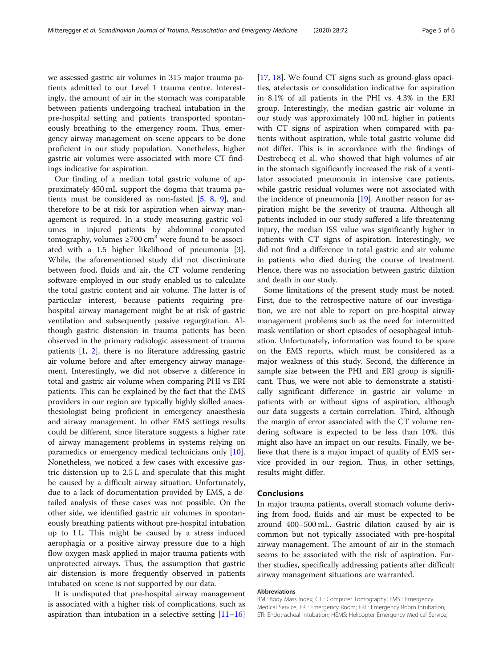we assessed gastric air volumes in 315 major trauma patients admitted to our Level 1 trauma centre. Interestingly, the amount of air in the stomach was comparable between patients undergoing tracheal intubation in the pre-hospital setting and patients transported spontaneously breathing to the emergency room. Thus, emergency airway management on-scene appears to be done proficient in our study population. Nonetheless, higher gastric air volumes were associated with more CT findings indicative for aspiration.

Our finding of a median total gastric volume of approximately 450 mL support the dogma that trauma patients must be considered as non-fasted [[5,](#page-5-0) [8,](#page-5-0) [9](#page-5-0)], and therefore to be at risk for aspiration when airway management is required. In a study measuring gastric volumes in injured patients by abdominal computed tomography, volumes  $\geq 700 \text{ cm}^3$  were found to be associated with a 1.5 higher likelihood of pneumonia [\[3](#page-5-0)]. While, the aforementioned study did not discriminate between food, fluids and air, the CT volume rendering software employed in our study enabled us to calculate the total gastric content and air volume. The latter is of particular interest, because patients requiring prehospital airway management might be at risk of gastric ventilation and subsequently passive regurgitation. Although gastric distension in trauma patients has been observed in the primary radiologic assessment of trauma patients [\[1](#page-5-0), [2\]](#page-5-0), there is no literature addressing gastric air volume before and after emergency airway management. Interestingly, we did not observe a difference in total and gastric air volume when comparing PHI vs ERI patients. This can be explained by the fact that the EMS providers in our region are typically highly skilled anaesthesiologist being proficient in emergency anaesthesia and airway management. In other EMS settings results could be different, since literature suggests a higher rate of airway management problems in systems relying on paramedics or emergency medical technicians only [\[10](#page-5-0)]. Nonetheless, we noticed a few cases with excessive gastric distension up to 2.5 L and speculate that this might be caused by a difficult airway situation. Unfortunately, due to a lack of documentation provided by EMS, a detailed analysis of these cases was not possible. On the other side, we identified gastric air volumes in spontaneously breathing patients without pre-hospital intubation up to 1 L. This might be caused by a stress induced aerophagia or a positive airway pressure due to a high flow oxygen mask applied in major trauma patients with unprotected airways. Thus, the assumption that gastric air distension is more frequently observed in patients intubated on scene is not supported by our data.

It is undisputed that pre-hospital airway management is associated with a higher risk of complications, such as aspiration than intubation in a selective setting  $[11-16]$  $[11-16]$  $[11-16]$  $[11-16]$  $[11-16]$  [[17,](#page-5-0) [18\]](#page-5-0). We found CT signs such as ground-glass opacities, atelectasis or consolidation indicative for aspiration in 8.1% of all patients in the PHI vs. 4.3% in the ERI group. Interestingly, the median gastric air volume in our study was approximately 100 mL higher in patients with CT signs of aspiration when compared with patients without aspiration, while total gastric volume did not differ. This is in accordance with the findings of Destrebecq et al. who showed that high volumes of air in the stomach significantly increased the risk of a ventilator associated pneumonia in intensive care patients, while gastric residual volumes were not associated with the incidence of pneumonia  $[19]$  $[19]$ . Another reason for aspiration might be the severity of trauma. Although all patients included in our study suffered a life-threatening injury, the median ISS value was significantly higher in patients with CT signs of aspiration. Interestingly, we did not find a difference in total gastric and air volume in patients who died during the course of treatment. Hence, there was no association between gastric dilation and death in our study.

Some limitations of the present study must be noted. First, due to the retrospective nature of our investigation, we are not able to report on pre-hospital airway management problems such as the need for intermitted mask ventilation or short episodes of oesophageal intubation. Unfortunately, information was found to be spare on the EMS reports, which must be considered as a major weakness of this study. Second, the difference in sample size between the PHI and ERI group is significant. Thus, we were not able to demonstrate a statistically significant difference in gastric air volume in patients with or without signs of aspiration, although our data suggests a certain correlation. Third, although the margin of error associated with the CT volume rendering software is expected to be less than 10%, this might also have an impact on our results. Finally, we believe that there is a major impact of quality of EMS service provided in our region. Thus, in other settings, results might differ.

#### Conclusions

In major trauma patients, overall stomach volume deriving from food, fluids and air must be expected to be around 400–500 mL. Gastric dilation caused by air is common but not typically associated with pre-hospital airway management. The amount of air in the stomach seems to be associated with the risk of aspiration. Further studies, specifically addressing patients after difficult airway management situations are warranted.

#### Abbreviations

BMI: Body Mass Index; CT : Computer Tomography; EMS : Emergency Medical Service; ER : Emergency Room; ERI : Emergency Room Intubation; ETI: Endotracheal Intubation; HEMS: Helicopter Emergency Medical Service;